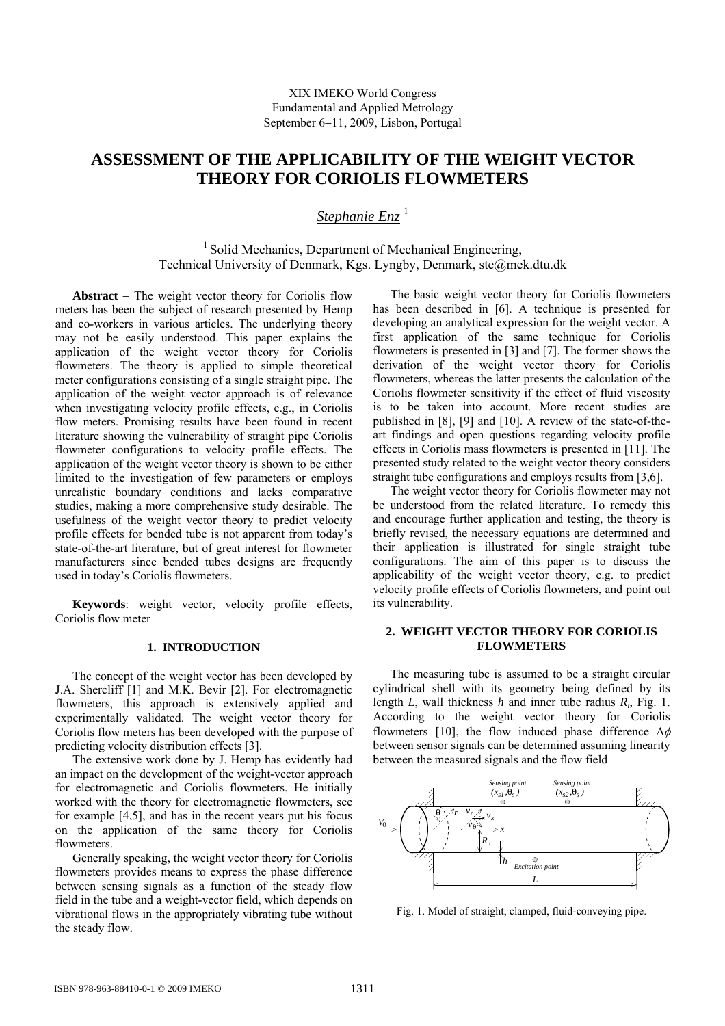# **ASSESSMENT OF THE APPLICABILITY OF THE WEIGHT VECTOR THEORY FOR CORIOLIS FLOWMETERS**

*Stephanie Enz*<sup>1</sup>

 $<sup>1</sup>$  Solid Mechanics, Department of Mechanical Engineering,</sup> Technical University of Denmark, Kgs. Lyngby, Denmark, ste@mek.dtu.dk

**Abstract** − The weight vector theory for Coriolis flow meters has been the subject of research presented by Hemp and co-workers in various articles. The underlying theory may not be easily understood. This paper explains the application of the weight vector theory for Coriolis flowmeters. The theory is applied to simple theoretical meter configurations consisting of a single straight pipe. The application of the weight vector approach is of relevance when investigating velocity profile effects, e.g., in Coriolis flow meters. Promising results have been found in recent literature showing the vulnerability of straight pipe Coriolis flowmeter configurations to velocity profile effects. The application of the weight vector theory is shown to be either limited to the investigation of few parameters or employs unrealistic boundary conditions and lacks comparative studies, making a more comprehensive study desirable. The usefulness of the weight vector theory to predict velocity profile effects for bended tube is not apparent from today's state-of-the-art literature, but of great interest for flowmeter manufacturers since bended tubes designs are frequently used in today's Coriolis flowmeters.

**Keywords**: weight vector, velocity profile effects, Coriolis flow meter

# **1. INTRODUCTION**

The concept of the weight vector has been developed by J.A. Shercliff [1] and M.K. Bevir [2]. For electromagnetic flowmeters, this approach is extensively applied and experimentally validated. The weight vector theory for Coriolis flow meters has been developed with the purpose of predicting velocity distribution effects [3].

The extensive work done by J. Hemp has evidently had an impact on the development of the weight-vector approach for electromagnetic and Coriolis flowmeters. He initially worked with the theory for electromagnetic flowmeters, see for example [4,5], and has in the recent years put his focus on the application of the same theory for Coriolis flowmeters.

Generally speaking, the weight vector theory for Coriolis flowmeters provides means to express the phase difference between sensing signals as a function of the steady flow field in the tube and a weight-vector field, which depends on vibrational flows in the appropriately vibrating tube without the steady flow.

The basic weight vector theory for Coriolis flowmeters has been described in [6]. A technique is presented for developing an analytical expression for the weight vector. A first application of the same technique for Coriolis flowmeters is presented in [3] and [7]. The former shows the derivation of the weight vector theory for Coriolis flowmeters, whereas the latter presents the calculation of the Coriolis flowmeter sensitivity if the effect of fluid viscosity is to be taken into account. More recent studies are published in [8], [9] and [10]. A review of the state-of-theart findings and open questions regarding velocity profile effects in Coriolis mass flowmeters is presented in [11]. The presented study related to the weight vector theory considers straight tube configurations and employs results from [3,6].

The weight vector theory for Coriolis flowmeter may not be understood from the related literature. To remedy this and encourage further application and testing, the theory is briefly revised, the necessary equations are determined and their application is illustrated for single straight tube configurations. The aim of this paper is to discuss the applicability of the weight vector theory, e.g. to predict velocity profile effects of Coriolis flowmeters, and point out its vulnerability.

## **2. WEIGHT VECTOR THEORY FOR CORIOLIS FLOWMETERS**

The measuring tube is assumed to be a straight circular cylindrical shell with its geometry being defined by its length *L*, wall thickness *h* and inner tube radius *Ri*, Fig. 1. According to the weight vector theory for Coriolis flowmeters [10], the flow induced phase difference  $\Delta \phi$ between sensor signals can be determined assuming linearity between the measured signals and the flow field



Fig. 1. Model of straight, clamped, fluid-conveying pipe.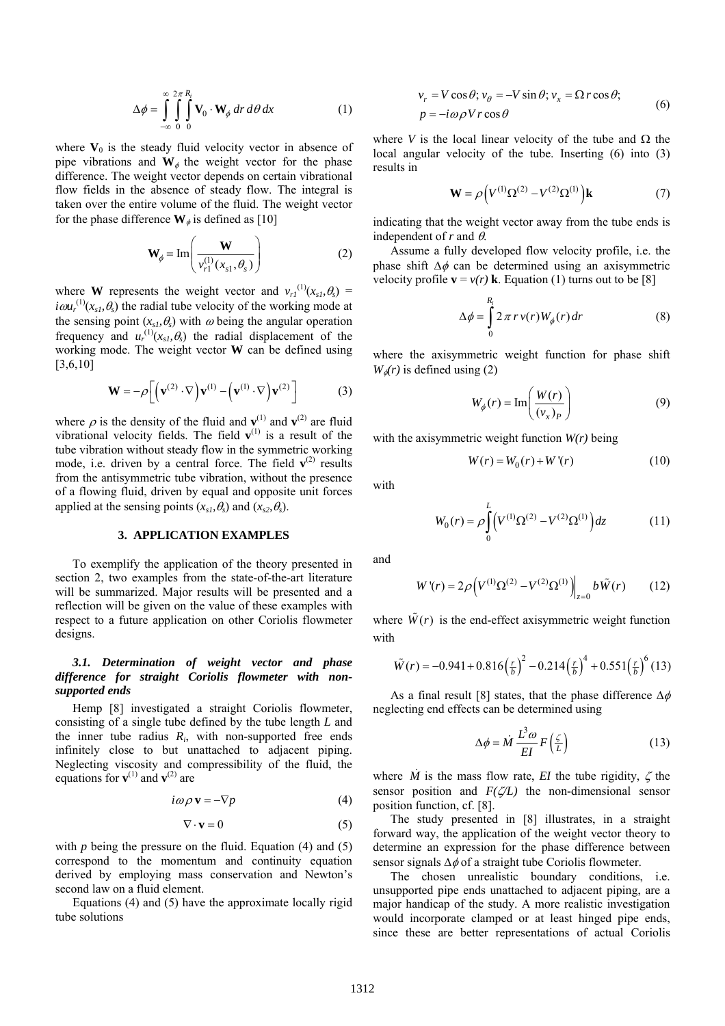$$
\Delta \phi = \int_{-\infty}^{\infty} \int_{0}^{2\pi} \int_{0}^{R_i} \mathbf{V}_0 \cdot \mathbf{W}_{\phi} dr d\theta dx
$$
 (1)

where  $V_0$  is the steady fluid velocity vector in absence of pipe vibrations and  $W_{\phi}$  the weight vector for the phase difference. The weight vector depends on certain vibrational flow fields in the absence of steady flow. The integral is taken over the entire volume of the fluid. The weight vector for the phase difference  $\mathbf{W}_{\phi}$  is defined as [10]

$$
\mathbf{W}_{\phi} = \text{Im}\left(\frac{\mathbf{W}}{v_{r1}^{(1)}(x_{s1}, \theta_s)}\right) \tag{2}
$$

where **W** represents the weight vector and  $v_{r1}^{(1)}(x_{s1}, \theta_s)$  =  $i\omega u_r^{(1)}(x_{s1}, \theta_s)$  the radial tube velocity of the working mode at the sensing point  $(x<sub>s1</sub>, \theta<sub>s</sub>)$  with  $\omega$  being the angular operation frequency and  $u_r^{(1)}(x_s, \theta_s)$  the radial displacement of the working mode. The weight vector **W** can be defined using [3,6,10]

$$
\mathbf{W} = -\rho \left[ \left( \mathbf{v}^{(2)} \cdot \nabla \right) \mathbf{v}^{(1)} - \left( \mathbf{v}^{(1)} \cdot \nabla \right) \mathbf{v}^{(2)} \right] \tag{3}
$$

where  $\rho$  is the density of the fluid and **v**<sup>(1)</sup> and **v**<sup>(2)</sup> are fluid vibrational velocity fields. The field  $\mathbf{v}^{(1)}$  is a result of the tube vibration without steady flow in the symmetric working mode, i.e. driven by a central force. The field  $\mathbf{v}^{(2)}$  results from the antisymmetric tube vibration, without the presence of a flowing fluid, driven by equal and opposite unit forces applied at the sensing points  $(x<sub>s1</sub>, \theta<sub>s</sub>)$  and  $(x<sub>s2</sub>, \theta<sub>s</sub>)$ .

## **3. APPLICATION EXAMPLES**

To exemplify the application of the theory presented in section 2, two examples from the state-of-the-art literature will be summarized. Major results will be presented and a reflection will be given on the value of these examples with respect to a future application on other Coriolis flowmeter designs.

## *3.1. Determination of weight vector and phase difference for straight Coriolis flowmeter with nonsupported ends*

Hemp [8] investigated a straight Coriolis flowmeter, consisting of a single tube defined by the tube length *L* and the inner tube radius  $R_i$ , with non-supported free ends infinitely close to but unattached to adjacent piping. Neglecting viscosity and compressibility of the fluid, the equations for  $\mathbf{v}^{(1)}$  and  $\mathbf{v}^{(2)}$  are

$$
i\omega \rho \mathbf{v} = -\nabla p \tag{4}
$$

$$
\nabla \cdot \mathbf{v} = 0 \tag{5}
$$

with *p* being the pressure on the fluid. Equation (4) and (5) correspond to the momentum and continuity equation derived by employing mass conservation and Newton's second law on a fluid element.

Equations (4) and (5) have the approximate locally rigid tube solutions

$$
v_r = V \cos \theta; v_{\theta} = -V \sin \theta; v_x = \Omega r \cos \theta;
$$
  
\n
$$
p = -i\omega \rho V r \cos \theta
$$
\n(6)

where *V* is the local linear velocity of the tube and  $\Omega$  the local angular velocity of the tube. Inserting (6) into (3) results in

$$
\mathbf{W} = \rho \Big( V^{(1)} \Omega^{(2)} - V^{(2)} \Omega^{(1)} \Big) \mathbf{k} \tag{7}
$$

indicating that the weight vector away from the tube ends is independent of  $r$  and  $\theta$ .

Assume a fully developed flow velocity profile, i.e. the phase shift  $\Delta \phi$  can be determined using an axisymmetric velocity profile  $\mathbf{v} = v(r) \mathbf{k}$ . Equation (1) turns out to be [8]

$$
\Delta \phi = \int_{0}^{R_i} 2 \pi r v(r) W_{\phi}(r) dr \tag{8}
$$

where the axisymmetric weight function for phase shift  $W_{\phi}(r)$  is defined using (2)

$$
W_{\phi}(r) = \text{Im}\left(\frac{W(r)}{(v_x)_P}\right) \tag{9}
$$

with the axisymmetric weight function *W(r)* being

$$
W(r) = W_0(r) + W'(r) \tag{10}
$$

with

$$
W_0(r) = \rho \int_0^L \left( V^{(1)} \Omega^{(2)} - V^{(2)} \Omega^{(1)} \right) dz \tag{11}
$$

and

$$
W'(r) = 2\rho \left( V^{(1)} \Omega^{(2)} - V^{(2)} \Omega^{(1)} \right) \Big|_{z=0} b \tilde{W}(r) \qquad (12)
$$

where  $\tilde{W}(r)$  is the end-effect axisymmetric weight function with

$$
\tilde{W}(r) = -0.941 + 0.816 \left(\frac{r}{b}\right)^2 - 0.214 \left(\frac{r}{b}\right)^4 + 0.551 \left(\frac{r}{b}\right)^6 (13)
$$

As a final result [8] states, that the phase difference  $\Delta \phi$ neglecting end effects can be determined using

$$
\Delta \phi = \dot{M} \frac{L^3 \omega}{EI} F\left(\frac{\zeta}{L}\right) \tag{13}
$$

where  $\dot{M}$  is the mass flow rate, *EI* the tube rigidity,  $\zeta$  the sensor position and *F(*ζ*/L)* the non-dimensional sensor position function, cf. [8].

The study presented in [8] illustrates, in a straight forward way, the application of the weight vector theory to determine an expression for the phase difference between sensor signals  $\Delta\phi$  of a straight tube Coriolis flowmeter.

The chosen unrealistic boundary conditions, i.e. unsupported pipe ends unattached to adjacent piping, are a major handicap of the study. A more realistic investigation would incorporate clamped or at least hinged pipe ends, since these are better representations of actual Coriolis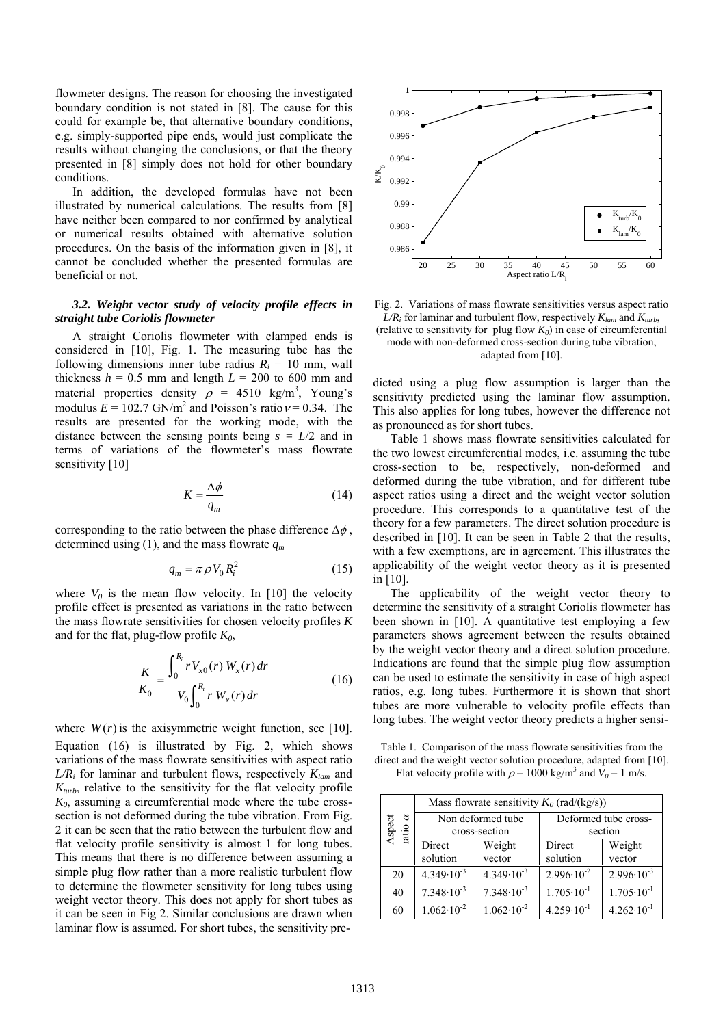flowmeter designs. The reason for choosing the investigated boundary condition is not stated in [8]. The cause for this could for example be, that alternative boundary conditions, e.g. simply-supported pipe ends, would just complicate the results without changing the conclusions, or that the theory presented in [8] simply does not hold for other boundary conditions.

In addition, the developed formulas have not been illustrated by numerical calculations. The results from [8] have neither been compared to nor confirmed by analytical or numerical results obtained with alternative solution procedures. On the basis of the information given in [8], it cannot be concluded whether the presented formulas are beneficial or not.

# *3.2. Weight vector study of velocity profile effects in straight tube Coriolis flowmeter*

A straight Coriolis flowmeter with clamped ends is considered in [10], Fig. 1. The measuring tube has the following dimensions inner tube radius  $R_i = 10$  mm, wall thickness  $h = 0.5$  mm and length  $L = 200$  to 600 mm and material properties density  $\rho = 4510 \text{ kg/m}^3$ , Young's modulus  $E = 102.7$  GN/m<sup>2</sup> and Poisson's ratio  $v = 0.34$ . The results are presented for the working mode, with the distance between the sensing points being  $s = L/2$  and in terms of variations of the flowmeter's mass flowrate sensitivity [10]

$$
K = \frac{\Delta \phi}{q_m} \tag{14}
$$

corresponding to the ratio between the phase difference  $\Delta \phi$ , determined using (1), and the mass flowrate  $q_m$ 

$$
q_m = \pi \rho V_0 R_i^2 \tag{15}
$$

where  $V_0$  is the mean flow velocity. In [10] the velocity profile effect is presented as variations in the ratio between the mass flowrate sensitivities for chosen velocity profiles *K* and for the flat, plug-flow profile  $K_0$ ,

$$
\frac{K}{K_0} = \frac{\int_0^{R_i} r V_{x0}(r) \,\overline{W}_x(r) \, dr}{V_0 \int_0^{R_i} r \,\overline{W}_x(r) \, dr} \tag{16}
$$

where  $\overline{W}(r)$  is the axisymmetric weight function, see [10]. Equation (16) is illustrated by Fig. 2, which shows variations of the mass flowrate sensitivities with aspect ratio *L/Ri* for laminar and turbulent flows, respectively *Klam* and  $K_{turb}$ , relative to the sensitivity for the flat velocity profile *K0*, assuming a circumferential mode where the tube crosssection is not deformed during the tube vibration. From Fig. 2 it can be seen that the ratio between the turbulent flow and flat velocity profile sensitivity is almost 1 for long tubes. This means that there is no difference between assuming a simple plug flow rather than a more realistic turbulent flow to determine the flowmeter sensitivity for long tubes using weight vector theory. This does not apply for short tubes as it can be seen in Fig 2. Similar conclusions are drawn when laminar flow is assumed. For short tubes, the sensitivity pre-



Fig. 2. Variations of mass flowrate sensitivities versus aspect ratio  $L/R_i$  for laminar and turbulent flow, respectively  $K_{lam}$  and  $K_{turb}$ , (relative to sensitivity for plug flow  $K_0$ ) in case of circumferential mode with non-deformed cross-section during tube vibration, adapted from [10].

dicted using a plug flow assumption is larger than the sensitivity predicted using the laminar flow assumption. This also applies for long tubes, however the difference not as pronounced as for short tubes.

Table 1 shows mass flowrate sensitivities calculated for the two lowest circumferential modes, i.e. assuming the tube cross-section to be, respectively, non-deformed and deformed during the tube vibration, and for different tube aspect ratios using a direct and the weight vector solution procedure. This corresponds to a quantitative test of the theory for a few parameters. The direct solution procedure is described in [10]. It can be seen in Table 2 that the results, with a few exemptions, are in agreement. This illustrates the applicability of the weight vector theory as it is presented in [10].

The applicability of the weight vector theory to determine the sensitivity of a straight Coriolis flowmeter has been shown in [10]. A quantitative test employing a few parameters shows agreement between the results obtained by the weight vector theory and a direct solution procedure. Indications are found that the simple plug flow assumption can be used to estimate the sensitivity in case of high aspect ratios, e.g. long tubes. Furthermore it is shown that short tubes are more vulnerable to velocity profile effects than long tubes. The weight vector theory predicts a higher sensi-

Table 1. Comparison of the mass flowrate sensitivities from the direct and the weight vector solution procedure, adapted from [10]. Flat velocity profile with  $\rho = 1000 \text{ kg/m}^3$  and  $V_0 = 1 \text{ m/s}$ .

| B<br>Aspect<br>ratio $\alpha$ | Mass flowrate sensitivity $K_0$ (rad/(kg/s)) |                       |                       |                       |
|-------------------------------|----------------------------------------------|-----------------------|-----------------------|-----------------------|
|                               | Non deformed tube                            |                       | Deformed tube cross-  |                       |
|                               | cross-section                                |                       | section               |                       |
|                               | Direct                                       | Weight                | Direct                | Weight                |
|                               | solution                                     | vector                | solution              | vector                |
| 20                            | $4.349 \cdot 10^{-3}$                        | $4.349 \cdot 10^{-3}$ | $2.996 \cdot 10^{-2}$ | $2.996 \cdot 10^{-3}$ |
| 40                            | $7.348 \cdot 10^{-3}$                        | $7.348 \cdot 10^{-3}$ | $1.705 \cdot 10^{-1}$ | $1.705 \cdot 10^{-1}$ |
| 60                            | $1.062 \cdot 10^{-2}$                        | $1.062 \cdot 10^{-2}$ | $4.259 \cdot 10^{-1}$ | $4.262 \cdot 10^{-1}$ |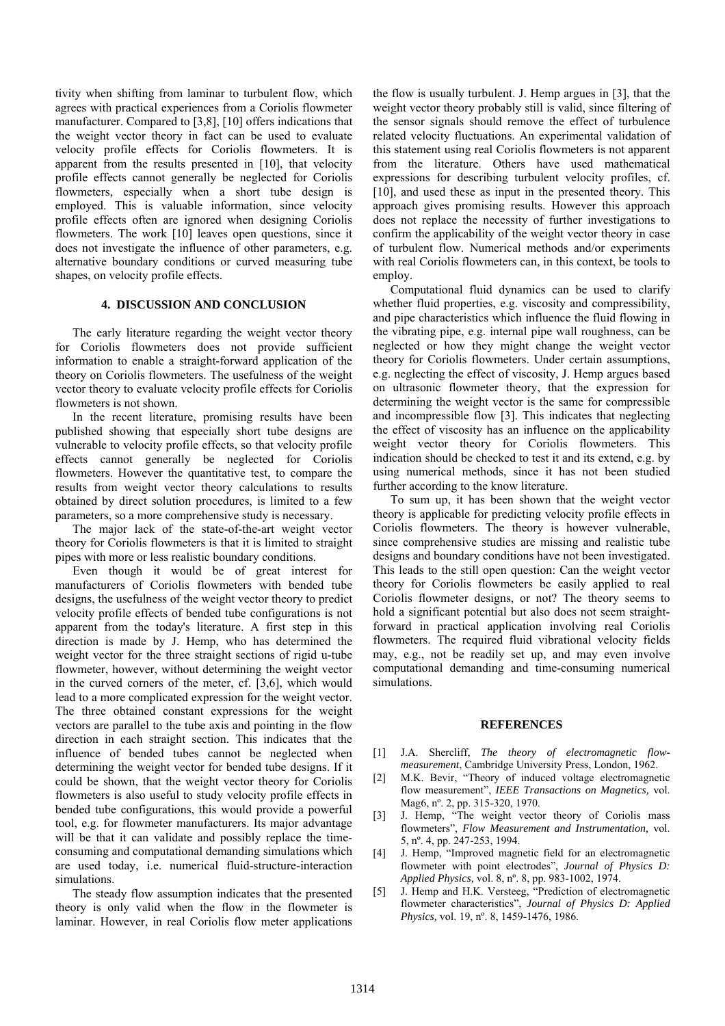tivity when shifting from laminar to turbulent flow, which agrees with practical experiences from a Coriolis flowmeter manufacturer. Compared to [3,8], [10] offers indications that the weight vector theory in fact can be used to evaluate velocity profile effects for Coriolis flowmeters. It is apparent from the results presented in [10], that velocity profile effects cannot generally be neglected for Coriolis flowmeters, especially when a short tube design is employed. This is valuable information, since velocity profile effects often are ignored when designing Coriolis flowmeters. The work [10] leaves open questions, since it does not investigate the influence of other parameters, e.g. alternative boundary conditions or curved measuring tube shapes, on velocity profile effects.

### **4. DISCUSSION AND CONCLUSION**

The early literature regarding the weight vector theory for Coriolis flowmeters does not provide sufficient information to enable a straight-forward application of the theory on Coriolis flowmeters. The usefulness of the weight vector theory to evaluate velocity profile effects for Coriolis flowmeters is not shown.

In the recent literature, promising results have been published showing that especially short tube designs are vulnerable to velocity profile effects, so that velocity profile effects cannot generally be neglected for Coriolis flowmeters. However the quantitative test, to compare the results from weight vector theory calculations to results obtained by direct solution procedures, is limited to a few parameters, so a more comprehensive study is necessary.

The major lack of the state-of-the-art weight vector theory for Coriolis flowmeters is that it is limited to straight pipes with more or less realistic boundary conditions.

Even though it would be of great interest for manufacturers of Coriolis flowmeters with bended tube designs, the usefulness of the weight vector theory to predict velocity profile effects of bended tube configurations is not apparent from the today's literature. A first step in this direction is made by J. Hemp, who has determined the weight vector for the three straight sections of rigid u-tube flowmeter, however, without determining the weight vector in the curved corners of the meter, cf. [3,6], which would lead to a more complicated expression for the weight vector. The three obtained constant expressions for the weight vectors are parallel to the tube axis and pointing in the flow direction in each straight section. This indicates that the influence of bended tubes cannot be neglected when determining the weight vector for bended tube designs. If it could be shown, that the weight vector theory for Coriolis flowmeters is also useful to study velocity profile effects in bended tube configurations, this would provide a powerful tool, e.g. for flowmeter manufacturers. Its major advantage will be that it can validate and possibly replace the timeconsuming and computational demanding simulations which are used today, i.e. numerical fluid-structure-interaction simulations.

The steady flow assumption indicates that the presented theory is only valid when the flow in the flowmeter is laminar. However, in real Coriolis flow meter applications the flow is usually turbulent. J. Hemp argues in [3], that the weight vector theory probably still is valid, since filtering of the sensor signals should remove the effect of turbulence related velocity fluctuations. An experimental validation of this statement using real Coriolis flowmeters is not apparent from the literature. Others have used mathematical expressions for describing turbulent velocity profiles, cf. [10], and used these as input in the presented theory. This approach gives promising results. However this approach does not replace the necessity of further investigations to confirm the applicability of the weight vector theory in case of turbulent flow. Numerical methods and/or experiments with real Coriolis flowmeters can, in this context, be tools to employ.

Computational fluid dynamics can be used to clarify whether fluid properties, e.g. viscosity and compressibility, and pipe characteristics which influence the fluid flowing in the vibrating pipe, e.g. internal pipe wall roughness, can be neglected or how they might change the weight vector theory for Coriolis flowmeters. Under certain assumptions, e.g. neglecting the effect of viscosity, J. Hemp argues based on ultrasonic flowmeter theory, that the expression for determining the weight vector is the same for compressible and incompressible flow [3]. This indicates that neglecting the effect of viscosity has an influence on the applicability weight vector theory for Coriolis flowmeters. This indication should be checked to test it and its extend, e.g. by using numerical methods, since it has not been studied further according to the know literature.

To sum up, it has been shown that the weight vector theory is applicable for predicting velocity profile effects in Coriolis flowmeters. The theory is however vulnerable, since comprehensive studies are missing and realistic tube designs and boundary conditions have not been investigated. This leads to the still open question: Can the weight vector theory for Coriolis flowmeters be easily applied to real Coriolis flowmeter designs, or not? The theory seems to hold a significant potential but also does not seem straightforward in practical application involving real Coriolis flowmeters. The required fluid vibrational velocity fields may, e.g., not be readily set up, and may even involve computational demanding and time-consuming numerical simulations.

# **REFERENCES**

- [1] J.A. Shercliff, *The theory of electromagnetic flowmeasurement*, Cambridge University Press, London, 1962.
- [2] M.K. Bevir, "Theory of induced voltage electromagnetic flow measurement", *IEEE Transactions on Magnetics,* vol. Mag6, nº. 2, pp. 315-320, 1970.
- [3] J. Hemp, "The weight vector theory of Coriolis mass flowmeters", *Flow Measurement and Instrumentation,* vol. 5, nº. 4, pp. 247-253, 1994.
- [4] J. Hemp, "Improved magnetic field for an electromagnetic flowmeter with point electrodes", *Journal of Physics D: Applied Physics,* vol. 8, nº. 8, pp. 983-1002, 1974.
- [5] J. Hemp and H.K. Versteeg, "Prediction of electromagnetic flowmeter characteristics", *Journal of Physics D: Applied Physics,* vol. 19, nº. 8, 1459-1476, 1986.